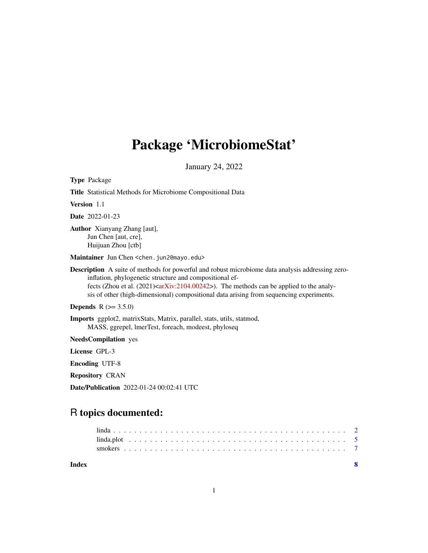## Package 'MicrobiomeStat'

January 24, 2022

Type Package

| Title Statistical Methods for Microbiome Compositional Data                                                                                                                                                                                                                                                                                                                  |
|------------------------------------------------------------------------------------------------------------------------------------------------------------------------------------------------------------------------------------------------------------------------------------------------------------------------------------------------------------------------------|
| Version 1.1                                                                                                                                                                                                                                                                                                                                                                  |
| <b>Date</b> 2022-01-23                                                                                                                                                                                                                                                                                                                                                       |
| <b>Author</b> Xianyang Zhang [aut],<br>Jun Chen [aut, cre],<br>Huijuan Zhou [ctb]                                                                                                                                                                                                                                                                                            |
| Maintainer Jun Chen < chen. jun2@mayo.edu>                                                                                                                                                                                                                                                                                                                                   |
| <b>Description</b> A suite of methods for powerful and robust microbiome data analysis addressing zero-<br>inflation, phylogenetic structure and compositional ef-<br>fects (Zhou et al. $(2021) \langle \text{arXiv}: 2104.00242 \rangle). The methods can be applied to the analy-sis of other (high-dimensional) compositional data arising from sequencing experiments.$ |
| <b>Depends</b> $R (= 3.5.0)$                                                                                                                                                                                                                                                                                                                                                 |
| Imports ggplot2, matrixStats, Matrix, parallel, stats, utils, statmod,<br>MASS, ggrepel, lmerTest, foreach, modeest, phyloseq                                                                                                                                                                                                                                                |
| <b>NeedsCompilation</b> yes                                                                                                                                                                                                                                                                                                                                                  |
| License GPL-3                                                                                                                                                                                                                                                                                                                                                                |
| <b>Encoding UTF-8</b>                                                                                                                                                                                                                                                                                                                                                        |
| <b>Repository CRAN</b>                                                                                                                                                                                                                                                                                                                                                       |
| Date/Publication 2022-01-24 00:02:41 UTC                                                                                                                                                                                                                                                                                                                                     |

### R topics documented: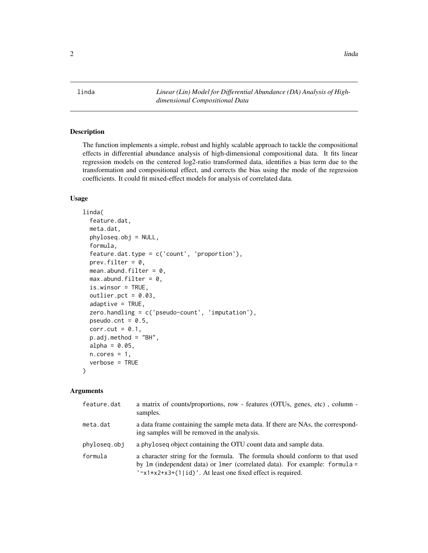<span id="page-1-0"></span>linda *Linear (Lin) Model for Differential Abundance (DA) Analysis of Highdimensional Compositional Data*

#### Description

The function implements a simple, robust and highly scalable approach to tackle the compositional effects in differential abundance analysis of high-dimensional compositional data. It fits linear regression models on the centered log2-ratio transformed data, identifies a bias term due to the transformation and compositional effect, and corrects the bias using the mode of the regression coefficients. It could fit mixed-effect models for analysis of correlated data.

#### Usage

```
linda(
  feature.dat,
 meta.dat,
 phyloseq.obj = NULL,
  formula,
  feature.dat.type = c('count', 'proportion'),
  prev.filter = 0,
 mean.abund.filter = 0,
 max.dbund.filter = 0,is.winsor = TRUE,
  outlier.pct = 0.03,
  adaptive = TRUE,zero.handling = c('pseudo-count', 'imputation'),
  pseudo.cnt = 0.5,
  corr.cut = 0.1,
  p.adj.method = "BH",
  alpha = 0.05,
 n.cores = 1,verbose = TRUE
)
```
#### Arguments

| feature.dat  | a matrix of counts/proportions, row - features (OTUs, genes, etc), column -<br>samples.                                                                                                                                                 |
|--------------|-----------------------------------------------------------------------------------------------------------------------------------------------------------------------------------------------------------------------------------------|
| meta.dat     | a data frame containing the sample meta data. If there are NAs, the correspond-<br>ing samples will be removed in the analysis.                                                                                                         |
| phyloseg.obj | a phyloseq object containing the OTU count data and sample data.                                                                                                                                                                        |
| formula      | a character string for the formula. The formula should conform to that used<br>by $\text{Im}$ (independent data) or $\text{Im}$ (correlated data). For example: formula =<br>'~x1*x2+x3+(1 id)'. At least one fixed effect is required. |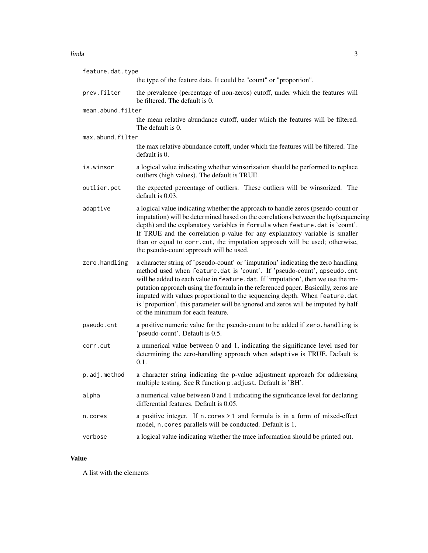#### linda 3

| feature.dat.type  |                                                                                                                                                                                                                                                                                                                                                                                                                                                                                                                                              |
|-------------------|----------------------------------------------------------------------------------------------------------------------------------------------------------------------------------------------------------------------------------------------------------------------------------------------------------------------------------------------------------------------------------------------------------------------------------------------------------------------------------------------------------------------------------------------|
|                   | the type of the feature data. It could be "count" or "proportion".                                                                                                                                                                                                                                                                                                                                                                                                                                                                           |
| prev.filter       | the prevalence (percentage of non-zeros) cutoff, under which the features will<br>be filtered. The default is 0.                                                                                                                                                                                                                                                                                                                                                                                                                             |
| mean.abund.filter |                                                                                                                                                                                                                                                                                                                                                                                                                                                                                                                                              |
|                   | the mean relative abundance cutoff, under which the features will be filtered.<br>The default is 0.                                                                                                                                                                                                                                                                                                                                                                                                                                          |
| max.abund.filter  |                                                                                                                                                                                                                                                                                                                                                                                                                                                                                                                                              |
|                   | the max relative abundance cutoff, under which the features will be filtered. The<br>default is 0.                                                                                                                                                                                                                                                                                                                                                                                                                                           |
| is.winsor         | a logical value indicating whether winsorization should be performed to replace<br>outliers (high values). The default is TRUE.                                                                                                                                                                                                                                                                                                                                                                                                              |
| outlier.pct       | the expected percentage of outliers. These outliers will be winsorized. The<br>default is 0.03.                                                                                                                                                                                                                                                                                                                                                                                                                                              |
| adaptive          | a logical value indicating whether the approach to handle zeros (pseudo-count or<br>imputation) will be determined based on the correlations between the log(sequencing<br>depth) and the explanatory variables in formula when feature. dat is 'count'.<br>If TRUE and the correlation p-value for any explanatory variable is smaller<br>than or equal to corr.cut, the imputation approach will be used; otherwise,<br>the pseudo-count approach will be used.                                                                            |
| zero.handling     | a character string of 'pseudo-count' or 'imputation' indicating the zero handling<br>method used when feature.dat is 'count'. If 'pseudo-count', apseudo.cnt<br>will be added to each value in feature.dat. If 'imputation', then we use the im-<br>putation approach using the formula in the referenced paper. Basically, zeros are<br>imputed with values proportional to the sequencing depth. When feature.dat<br>is 'proportion', this parameter will be ignored and zeros will be imputed by half<br>of the minimum for each feature. |
| pseudo.cnt        | a positive numeric value for the pseudo-count to be added if zero. handling is<br>'pseudo-count'. Default is 0.5.                                                                                                                                                                                                                                                                                                                                                                                                                            |
| corr.cut          | a numerical value between 0 and 1, indicating the significance level used for<br>determining the zero-handling approach when adaptive is TRUE. Default is<br>0.1.                                                                                                                                                                                                                                                                                                                                                                            |
| p.adj.method      | a character string indicating the p-value adjustment approach for addressing<br>multiple testing. See R function p. adjust. Default is 'BH'.                                                                                                                                                                                                                                                                                                                                                                                                 |
| alpha             | a numerical value between 0 and 1 indicating the significance level for declaring<br>differential features. Default is 0.05.                                                                                                                                                                                                                                                                                                                                                                                                                 |
| n.cores           | a positive integer. If n. cores > 1 and formula is in a form of mixed-effect<br>model, n. cores parallels will be conducted. Default is 1.                                                                                                                                                                                                                                                                                                                                                                                                   |
| verbose           | a logical value indicating whether the trace information should be printed out.                                                                                                                                                                                                                                                                                                                                                                                                                                                              |

#### Value

A list with the elements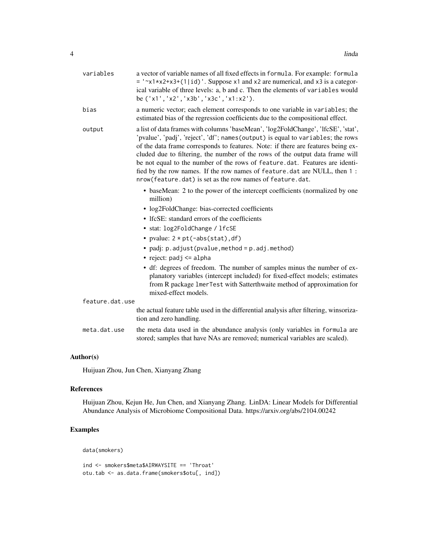| a vector of variable names of all fixed effects in formula. For example: formula<br>$=$ ' $\approx$ 1*x2+x3+(1 id)'. Suppose x1 and x2 are numerical, and x3 is a categor-<br>ical variable of three levels: a, b and c. Then the elements of variables would<br>be ('x1', 'x2', 'x3b', 'x3c', 'x1:x2').                                                                                                                                                                                                                                                           |
|--------------------------------------------------------------------------------------------------------------------------------------------------------------------------------------------------------------------------------------------------------------------------------------------------------------------------------------------------------------------------------------------------------------------------------------------------------------------------------------------------------------------------------------------------------------------|
| a numeric vector; each element corresponds to one variable in variables; the<br>estimated bias of the regression coefficients due to the compositional effect.                                                                                                                                                                                                                                                                                                                                                                                                     |
| a list of data frames with columns 'baseMean', 'log2FoldChange', 'lfcSE', 'stat',<br>'pvalue', 'padj', 'reject', 'df'; names(output) is equal to variables; the rows<br>of the data frame corresponds to features. Note: if there are features being ex-<br>cluded due to filtering, the number of the rows of the output data frame will<br>be not equal to the number of the rows of feature.dat. Features are identi-<br>fied by the row names. If the row names of feature.dat are NULL, then 1 :<br>nrow(feature.dat) is set as the row names of feature.dat. |
| • baseMean: 2 to the power of the intercept coefficients (normalized by one<br>million)                                                                                                                                                                                                                                                                                                                                                                                                                                                                            |
| • log2FoldChange: bias-corrected coefficients                                                                                                                                                                                                                                                                                                                                                                                                                                                                                                                      |
| • IfcSE: standard errors of the coefficients                                                                                                                                                                                                                                                                                                                                                                                                                                                                                                                       |
| • stat: log2FoldChange / lfcSE                                                                                                                                                                                                                                                                                                                                                                                                                                                                                                                                     |
| • pvalue: $2 * pt(-abs(stat), df)$                                                                                                                                                                                                                                                                                                                                                                                                                                                                                                                                 |
| • padj: p.adjust(pvalue, method = p.adj.method)                                                                                                                                                                                                                                                                                                                                                                                                                                                                                                                    |
| • reject: $padj \leq alpha$                                                                                                                                                                                                                                                                                                                                                                                                                                                                                                                                        |
| • df: degrees of freedom. The number of samples minus the number of ex-<br>planatory variables (intercept included) for fixed-effect models; estimates<br>from R package 1merTest with Satterthwaite method of approximation for<br>mixed-effect models.                                                                                                                                                                                                                                                                                                           |
| feature.dat.use                                                                                                                                                                                                                                                                                                                                                                                                                                                                                                                                                    |
| the actual feature table used in the differential analysis after filtering, winsoriza-<br>tion and zero handling.                                                                                                                                                                                                                                                                                                                                                                                                                                                  |
| the meta data used in the abundance analysis (only variables in formula are<br>stored; samples that have NAs are removed; numerical variables are scaled).                                                                                                                                                                                                                                                                                                                                                                                                         |
|                                                                                                                                                                                                                                                                                                                                                                                                                                                                                                                                                                    |

#### Author(s)

Huijuan Zhou, Jun Chen, Xianyang Zhang

#### References

Huijuan Zhou, Kejun He, Jun Chen, and Xianyang Zhang. LinDA: Linear Models for Differential Abundance Analysis of Microbiome Compositional Data. https://arxiv.org/abs/2104.00242

#### Examples

data(smokers)

```
ind <- smokers$meta$AIRWAYSITE == 'Throat'
otu.tab <- as.data.frame(smokers$otu[, ind])
```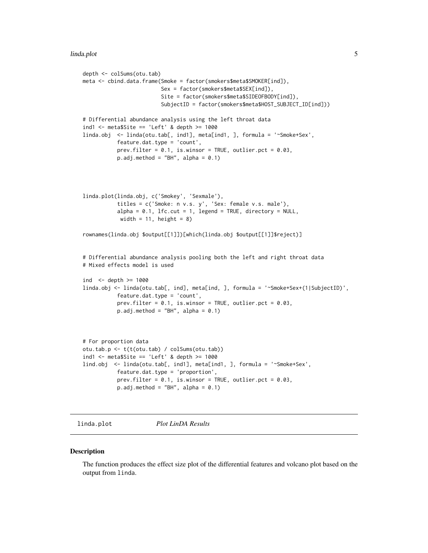#### <span id="page-4-0"></span>linda.plot 5

```
depth <- colSums(otu.tab)
meta <- cbind.data.frame(Smoke = factor(smokers$meta$SMOKER[ind]),
                         Sex = factor(smokers$meta$SEX[ind]),
                         Site = factor(smokers$meta$SIDEOFBODY[ind]),
                         SubjectID = factor(smokers$meta$HOST_SUBJECT_ID[ind]))
# Differential abundance analysis using the left throat data
ind1 <- meta$Site == 'Left' & depth >= 1000
linda.obj <- linda(otu.tab[, ind1], meta[ind1, ], formula = '~Smoke+Sex',
           feature.dat.type = 'count',
           prev.filter = 0.1, is.winsor = TRUE, outlier.pct = 0.03,
           p.add.method = "BH", alpha = 0.1)linda.plot(linda.obj, c('Smokey', 'Sexmale'),
           titles = c('Smoke: n v.s. y', 'Sex: female v.s. male'),
           alpha = 0.1, lfc.cut = 1, legend = TRUE, directory = NULL,
           width = 11, height = 8)
rownames(linda.obj $output[[1]])[which(linda.obj $output[[1]]$reject)]
# Differential abundance analysis pooling both the left and right throat data
# Mixed effects model is used
ind <- depth >= 1000
linda.obj <- linda(otu.tab[, ind], meta[ind, ], formula = '~Smoke+Sex+(1|SubjectID)',
           feature.dat.type = 'count',
           prev.filter = 0.1, is.winsor = TRUE, outlier.pct = 0.03,
           p.addj.method = "BH", alpha = 0.1)# For proportion data
otu.tab.p <- t(t(otu.tab) / colSums(otu.tab))
ind1 <- meta$Site == 'Left' & depth >= 1000lind.obj <- linda(otu.tab[, ind1], meta[ind1, ], formula = '~Smoke+Sex',
           feature.dat.type = 'proportion',
           prev.filter = 0.1, is.winsor = TRUE, outlier.pct = 0.03,
           p.add.method = "BH", alpha = 0.1)
```
linda.plot *Plot LinDA Results*

#### **Description**

The function produces the effect size plot of the differential features and volcano plot based on the output from linda.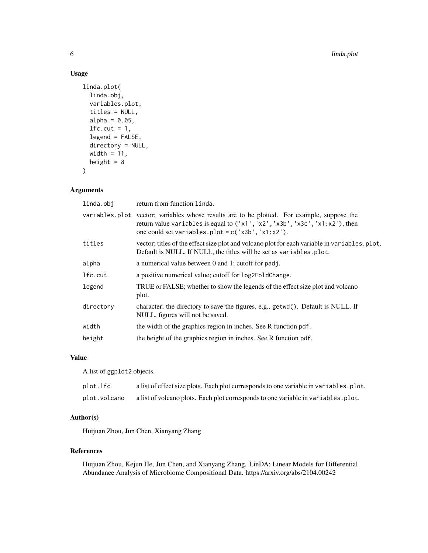#### Usage

```
linda.plot(
  linda.obj,
  variables.plot,
  titles = NULL,
  alpha = 0.05,
  lfc.cut = 1,
  legend = FALSE,
  directory = NULL,
 width = 11,
  height = 8)
```
#### Arguments

| linda.obj | return from function linda.                                                                                                                                                                                                       |
|-----------|-----------------------------------------------------------------------------------------------------------------------------------------------------------------------------------------------------------------------------------|
|           | variables plot vector; variables whose results are to be plotted. For example, suppose the<br>return value variables is equal to ('x1', 'x2', 'x3b', 'x3c', 'x1:x2'), then<br>one could set variables.plot = $c('x3b', 'x1:x2').$ |
| titles    | vector; titles of the effect size plot and volcano plot for each variable in variables. plot.<br>Default is NULL. If NULL, the titles will be set as variables.plot.                                                              |
| alpha     | a numerical value between 0 and 1; cutoff for padj.                                                                                                                                                                               |
| lfc.cut   | a positive numerical value; cutoff for $log2FoldChange$ .                                                                                                                                                                         |
| legend    | TRUE or FALSE; whether to show the legends of the effect size plot and volcano<br>plot.                                                                                                                                           |
| directory | character; the directory to save the figures, e.g., getwd(). Default is NULL. If<br>NULL, figures will not be saved.                                                                                                              |
| width     | the width of the graphics region in inches. See R function pdf.                                                                                                                                                                   |
| height    | the height of the graphics region in inches. See R function pdf.                                                                                                                                                                  |
|           |                                                                                                                                                                                                                                   |

#### Value

A list of ggplot2 objects.

| plot.lfc     | a list of effect size plots. Each plot corresponds to one variable in variables. plot. |
|--------------|----------------------------------------------------------------------------------------|
| plot.volcano | a list of volcano plots. Each plot corresponds to one variable in variables, plot.     |

#### Author(s)

Huijuan Zhou, Jun Chen, Xianyang Zhang

#### References

Huijuan Zhou, Kejun He, Jun Chen, and Xianyang Zhang. LinDA: Linear Models for Differential Abundance Analysis of Microbiome Compositional Data. https://arxiv.org/abs/2104.00242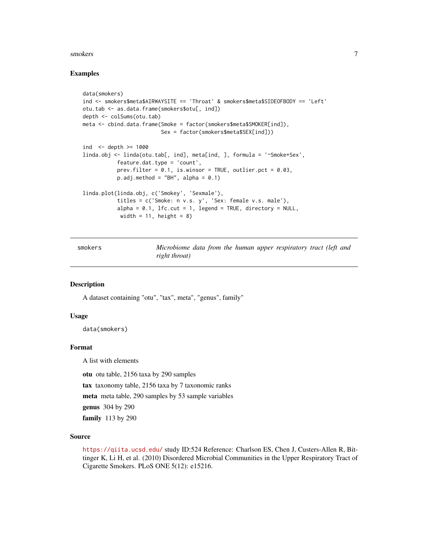#### <span id="page-6-0"></span>smokers 7

#### Examples

```
data(smokers)
ind <- smokers$meta$AIRWAYSITE == 'Throat' & smokers$meta$SIDEOFBODY == 'Left'
otu.tab <- as.data.frame(smokers$otu[, ind])
depth <- colSums(otu.tab)
meta <- cbind.data.frame(Smoke = factor(smokers$meta$SMOKER[ind]),
                         Sex = factor(smokers$meta$SEX[ind]))
ind \le depth \ge 1000
linda.obj <- linda(otu.tab[, ind], meta[ind, ], formula = '~Smoke+Sex',
           feature.dat.type = 'count',
           prev.filter = 0.1, is.winsor = TRUE, outlier.pct = 0.03,
           p.addj.method = "BH", alpha = 0.1)linda.plot(linda.obj, c('Smokey', 'Sexmale'),
           titles = c('Smoke: n v.s. y', 'Sex: female v.s. male'),
           alpha = 0.1, lfc.cut = 1, legend = TRUE, directory = NULL,
           width = 11, height = 8)
```
smokers *Microbiome data from the human upper respiratory tract (left and right throat)*

#### **Description**

A dataset containing "otu", "tax", meta", "genus", family"

#### Usage

data(smokers)

#### Format

A list with elements

otu otu table, 2156 taxa by 290 samples tax taxonomy table, 2156 taxa by 7 taxonomic ranks meta meta table, 290 samples by 53 sample variables genus 304 by 290 family 113 by 290

#### Source

<https://qiita.ucsd.edu/> study ID:524 Reference: Charlson ES, Chen J, Custers-Allen R, Bittinger K, Li H, et al. (2010) Disordered Microbial Communities in the Upper Respiratory Tract of Cigarette Smokers. PLoS ONE 5(12): e15216.